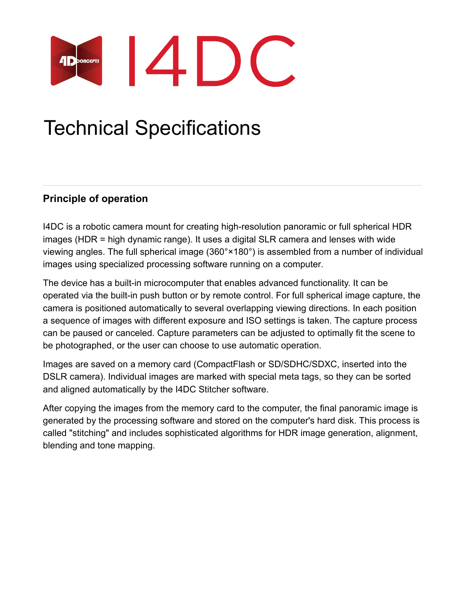

# Technical Specifications

# **Principle of operation**

I4DC is a robotic camera mount for creating high-resolution panoramic or full spherical HDR images (HDR = high dynamic range). It uses a digital SLR camera and lenses with wide viewing angles. The full spherical image (360°×180°) is assembled from a number of individual images using specialized processing software running on a computer.

The device has a built-in microcomputer that enables advanced functionality. It can be operated via the built-in push button or by remote control. For full spherical image capture, the camera is positioned automatically to several overlapping viewing directions. In each position a sequence of images with different exposure and ISO settings is taken. The capture process can be paused or canceled. Capture parameters can be adjusted to optimally fit the scene to be photographed, or the user can choose to use automatic operation.

Images are saved on a memory card (CompactFlash or SD/SDHC/SDXC, inserted into the DSLR camera). Individual images are marked with special meta tags, so they can be sorted and aligned automatically by the I4DC Stitcher software.

After copying the images from the memory card to the computer, the final panoramic image is generated by the processing software and stored on the computer's hard disk. This process is called "stitching" and includes sophisticated algorithms for HDR image generation, alignment, blending and tone mapping.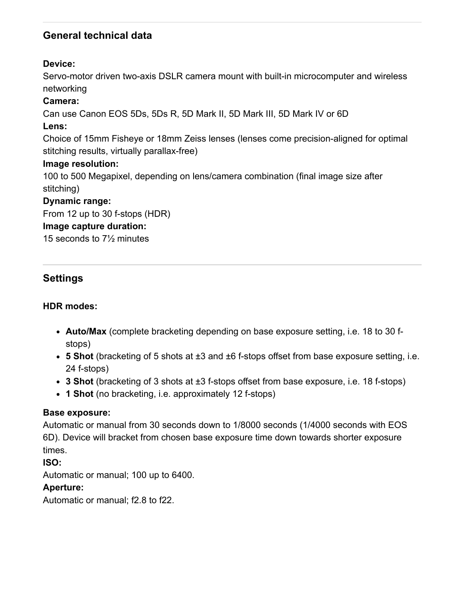## **General technical data**

## **Device:**

Servo-motor driven two-axis DSLR camera mount with built-in microcomputer and wireless networking

#### **Camera:**

Can use Canon EOS 5Ds, 5Ds R, 5D Mark II, 5D Mark III, 5D Mark IV or 6D

#### **Lens:**

Choice of 15mm Fisheye or 18mm Zeiss lenses (lenses come precision-aligned for optimal stitching results, virtually parallax-free)

#### **Image resolution:**

100 to 500 Megapixel, depending on lens/camera combination (final image size after stitching)

#### **Dynamic range:**

From 12 up to 30 f-stops (HDR)

#### **Image capture duration:**

15 seconds to 7½ minutes

## **Settings**

## **HDR modes:**

- **Auto/Max** (complete bracketing depending on base exposure setting, i.e. 18 to 30 fstops)
- **5 Shot** (bracketing of 5 shots at ±3 and ±6 f-stops offset from base exposure setting, i.e. 24 f-stops)
- **3 Shot** (bracketing of 3 shots at ±3 f-stops offset from base exposure, i.e. 18 f-stops)
- **1 Shot** (no bracketing, i.e. approximately 12 f-stops)

#### **Base exposure:**

Automatic or manual from 30 seconds down to 1/8000 seconds (1/4000 seconds with EOS 6D). Device will bracket from chosen base exposure time down towards shorter exposure times.

#### **ISO:**

Automatic or manual; 100 up to 6400.

#### **Aperture:**

Automatic or manual; f2.8 to f22.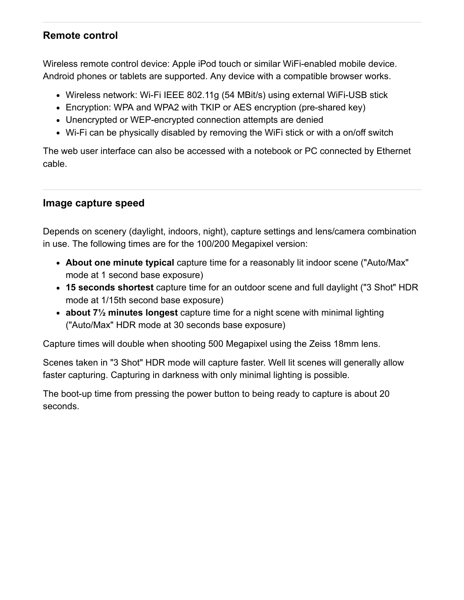## **Remote control**

Wireless remote control device: Apple iPod touch or similar WiFi-enabled mobile device. Android phones or tablets are supported. Any device with a compatible browser works.

- Wireless network: Wi-Fi IEEE 802.11g (54 MBit/s) using external WiFi-USB stick
- Encryption: WPA and WPA2 with TKIP or AES encryption (pre-shared key)
- Unencrypted or WEP-encrypted connection attempts are denied
- Wi-Fi can be physically disabled by removing the WiFi stick or with a on/off switch

The web user interface can also be accessed with a notebook or PC connected by Ethernet cable.

## **Image capture speed**

Depends on scenery (daylight, indoors, night), capture settings and lens/camera combination in use. The following times are for the 100/200 Megapixel version:

- **About one minute typical** capture time for a reasonably lit indoor scene ("Auto/Max" mode at 1 second base exposure)
- **15 seconds shortest** capture time for an outdoor scene and full daylight ("3 Shot" HDR mode at 1/15th second base exposure)
- **about 7½ minutes longest** capture time for a night scene with minimal lighting ("Auto/Max" HDR mode at 30 seconds base exposure)

Capture times will double when shooting 500 Megapixel using the Zeiss 18mm lens.

Scenes taken in "3 Shot" HDR mode will capture faster. Well lit scenes will generally allow faster capturing. Capturing in darkness with only minimal lighting is possible.

The boot-up time from pressing the power button to being ready to capture is about 20 seconds.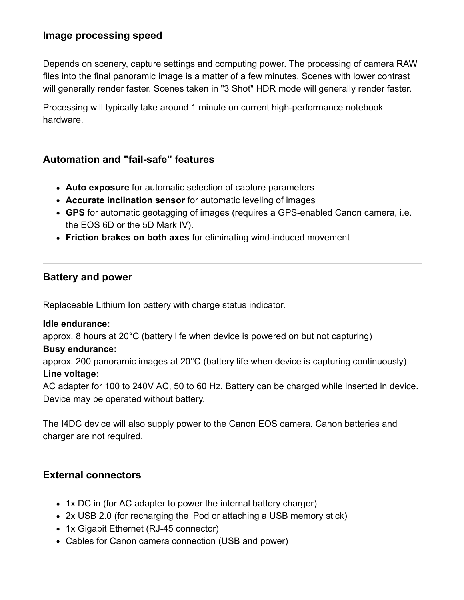## **Image processing speed**

Depends on scenery, capture settings and computing power. The processing of camera RAW files into the final panoramic image is a matter of a few minutes. Scenes with lower contrast will generally render faster. Scenes taken in "3 Shot" HDR mode will generally render faster.

Processing will typically take around 1 minute on current high-performance notebook hardware.

## **Automation and "fail-safe" features**

- **Auto exposure** for automatic selection of capture parameters
- **Accurate inclination sensor** for automatic leveling of images
- **GPS** for automatic geotagging of images (requires a GPS-enabled Canon camera, i.e. the EOS 6D or the 5D Mark IV).
- **Friction brakes on both axes** for eliminating wind-induced movement

#### **Battery and power**

Replaceable Lithium Ion battery with charge status indicator.

#### **Idle endurance:**

approx. 8 hours at 20°C (battery life when device is powered on but not capturing)

#### **Busy endurance:**

approx. 200 panoramic images at 20°C (battery life when device is capturing continuously) **Line voltage:**

AC adapter for 100 to 240V AC, 50 to 60 Hz. Battery can be charged while inserted in device. Device may be operated without battery.

The I4DC device will also supply power to the Canon EOS camera. Canon batteries and charger are not required.

#### **External connectors**

- 1x DC in (for AC adapter to power the internal battery charger)
- 2x USB 2.0 (for recharging the iPod or attaching a USB memory stick)
- 1x Gigabit Ethernet (RJ-45 connector)
- Cables for Canon camera connection (USB and power)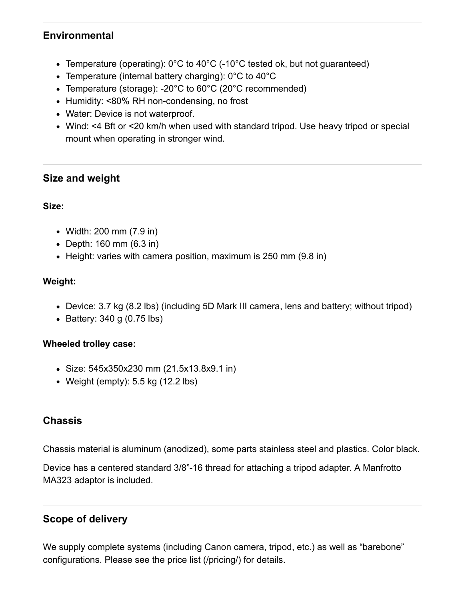## **Environmental**

- Temperature (operating): 0°C to 40°C (-10°C tested ok, but not guaranteed)
- Temperature (internal battery charging): 0°C to 40°C
- Temperature (storage): -20°C to 60°C (20°C recommended)
- Humidity: <80% RH non-condensing, no frost
- Water: Device is not waterproof.
- Wind: <4 Bft or <20 km/h when used with standard tripod. Use heavy tripod or special mount when operating in stronger wind.

## **Size and weight**

#### **Size:**

- Width: 200 mm (7.9 in)
- Depth: 160 mm (6.3 in)
- Height: varies with camera position, maximum is 250 mm (9.8 in)

#### **Weight:**

- Device: 3.7 kg (8.2 lbs) (including 5D Mark III camera, lens and battery; without tripod)
- $\bullet$  Battery: 340 g (0.75 lbs)

#### **Wheeled trolley case:**

- Size: 545x350x230 mm (21.5x13.8x9.1 in)
- Weight (empty):  $5.5$  kg (12.2 lbs)

## **Chassis**

Chassis material is aluminum (anodized), some parts stainless steel and plastics. Color black.

Device has a centered standard 3/8"-16 thread for attaching a tripod adapter. A Manfrotto MA323 adaptor is included.

## **Scope of delivery**

We supply complete systems (including Canon camera, tripod, etc.) as well as "barebone" configurations. Please see the [price list \(/pricing/\)](https://www.lizardq.com/pricing/) for details.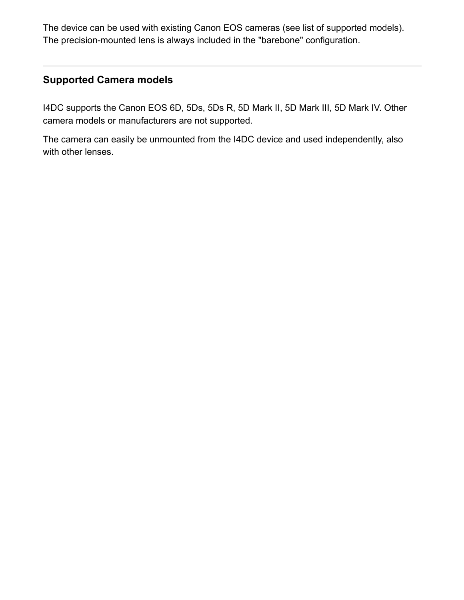The device can be used with existing Canon EOS cameras (see list of [supported models](#page-5-0)). The precision-mounted lens is always included in the "barebone" configuration.

# <span id="page-5-0"></span>**Supported Camera models**

I4DC supports the Canon EOS 6D, 5Ds, 5Ds R, 5D Mark II, 5D Mark III, 5D Mark IV. Other camera models or manufacturers are not supported.

The camera can easily be unmounted from the I4DC device and used independently, also with other lenses.